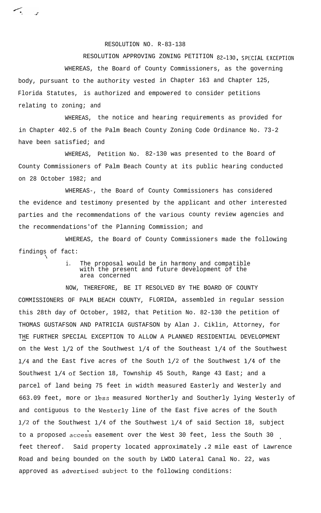RESOLUTION NO. R-83-138

RESOLUTION APPROVING ZONING PETITION 82-130, SPECIAL EXCEPTION WHEREAS, the Board of County Commissioners, as the governing body, pursuant to the authority vested in Chapter 163 and Chapter 125, Florida Statutes, is authorized and empowered to consider petitions relating to zoning; and

WHEREAS, the notice and hearing requirements as provided for in Chapter 402.5 of the Palm Beach County Zoning Code Ordinance No. 73-2 have been satisfied; and

WHEREAS, Petition No. 82-130 was presented to the Board of County Commissioners of Palm Beach County at its public hearing conducted on 28 October 1982; and

WHEREAS-, the Board of County Commissioners has considered the evidence and testimony presented by the applicant and other interested parties and the recommendations of the various county review agencies and the recommendations'of the Planning Commission; and

WHEREAS, the Board of County Commissioners made the following findings of fact:

 $\mathcal{L}_{\mathcal{L}}$ 

 $\frac{1}{2}$ 

i. The proposal would be in harmony and compatible with the present and future development of the area concerned

NOW, THEREFORE, BE IT RESOLVED BY THE BOARD OF COUNTY COMMISSIONERS OF PALM BEACH COUNTY, FLORIDA, assembled in regular session this 28th day of October, 1982, that Petition No. 82-130 the petition of THOMAS GUSTAFSON AND PATRICIA GUSTAFSON by Alan J. Ciklin, Attorney, for THE FURTHER SPECIAL EXCEPTION TO ALLOW A PLANNED RESIDENTIAL DEVELOPMENT on the West  $1/2$  of the Southwest  $1/4$  of the Southeast  $1/4$  of the Southwest l/4 and the East five acres of the South l/2 of the Southwest l/4 of the Southwest l/4 oE Section 18, Township 45 South, Range 43 East; and a parcel of land being 75 feet in width measured Easterly and Westerly and 663.09 feet, more or less measured Northerly and Southerly lying Westerly of and contiguous to the Westerly line of the East five acres of the South l/2 of the Southwest l/4 of the Southwest l/4 of said Section 18, subject to a proposed access easement over the West 30 feet, less the South 30 feet thereof. Said property located approximately .2 mile east of Lawrence Road and being bounded on the south by LWDD Lateral Canal No. 22, was approved as advertised subject to the following conditions: